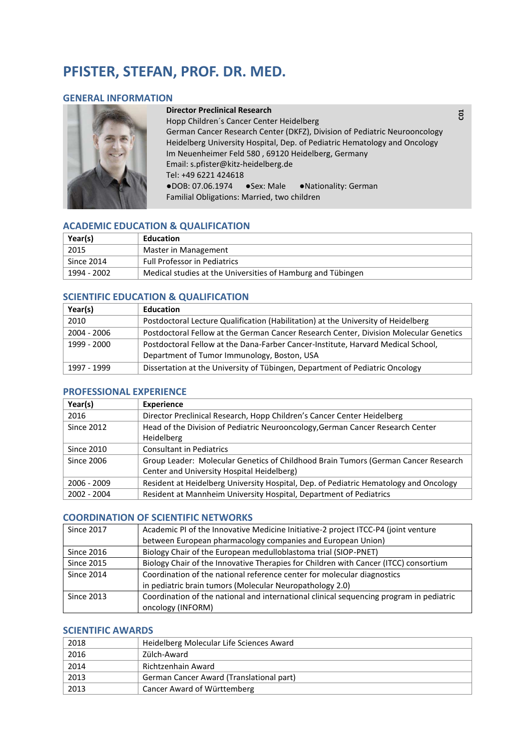# **PFISTER, STEFAN, PROF. DR. MED.**

## **GENERAL INFORMATION**



#### **Director Preclinical Research**

Hopp Children´s Cancer Center Heidelberg German Cancer Research Center (DKFZ), Division of Pediatric Neurooncology Heidelberg University Hospital, Dep. of Pediatric Hematology and Oncology Im Neuenheimer Feld 580 , 69120 Heidelberg, Germany Email: s.pfister@kitz-heidelberg.de Tel: +49 6221 424618 ●DOB: 07.06.1974 ●Sex: Male ●Nationality: German Familial Obligations: Married, two children

# **ACADEMIC EDUCATION & QUALIFICATION**

| Year(s)     | Education                                                   |
|-------------|-------------------------------------------------------------|
| 2015        | Master in Management                                        |
| Since 2014  | <b>Full Professor in Pediatrics</b>                         |
| 1994 - 2002 | Medical studies at the Universities of Hamburg and Tübingen |

# **SCIENTIFIC EDUCATION & QUALIFICATION**

| Year(s)     | <b>Education</b>                                                                      |
|-------------|---------------------------------------------------------------------------------------|
| 2010        | Postdoctoral Lecture Qualification (Habilitation) at the University of Heidelberg     |
| 2004 - 2006 | Postdoctoral Fellow at the German Cancer Research Center, Division Molecular Genetics |
| 1999 - 2000 | Postdoctoral Fellow at the Dana-Farber Cancer-Institute, Harvard Medical School,      |
|             | Department of Tumor Immunology, Boston, USA                                           |
| 1997 - 1999 | Dissertation at the University of Tübingen, Department of Pediatric Oncology          |

#### **PROFESSIONAL EXPERIENCE**

| Year(s)           | <b>Experience</b>                                                                     |
|-------------------|---------------------------------------------------------------------------------------|
| 2016              | Director Preclinical Research, Hopp Children's Cancer Center Heidelberg               |
| <b>Since 2012</b> | Head of the Division of Pediatric Neurooncology, German Cancer Research Center        |
|                   | Heidelberg                                                                            |
| <b>Since 2010</b> | <b>Consultant in Pediatrics</b>                                                       |
| <b>Since 2006</b> | Group Leader: Molecular Genetics of Childhood Brain Tumors (German Cancer Research    |
|                   | Center and University Hospital Heidelberg)                                            |
| 2006 - 2009       | Resident at Heidelberg University Hospital, Dep. of Pediatric Hematology and Oncology |
| 2002 - 2004       | Resident at Mannheim University Hospital, Department of Pediatrics                    |

#### **COORDINATION OF SCIENTIFIC NETWORKS**

| <b>Since 2017</b> | Academic PI of the Innovative Medicine Initiative-2 project ITCC-P4 (joint venture      |
|-------------------|-----------------------------------------------------------------------------------------|
|                   | between European pharmacology companies and European Union)                             |
| <b>Since 2016</b> | Biology Chair of the European medulloblastoma trial (SIOP-PNET)                         |
| <b>Since 2015</b> | Biology Chair of the Innovative Therapies for Children with Cancer (ITCC) consortium    |
| <b>Since 2014</b> | Coordination of the national reference center for molecular diagnostics                 |
|                   | in pediatric brain tumors (Molecular Neuropathology 2.0)                                |
| <b>Since 2013</b> | Coordination of the national and international clinical sequencing program in pediatric |
|                   | oncology (INFORM)                                                                       |

# **SCIENTIFIC AWARDS**

| 2018 | Heidelberg Molecular Life Sciences Award |
|------|------------------------------------------|
| 2016 | Zülch-Award                              |
| 2014 | Richtzenhain Award                       |
| 2013 | German Cancer Award (Translational part) |
| 2013 | Cancer Award of Württemberg              |